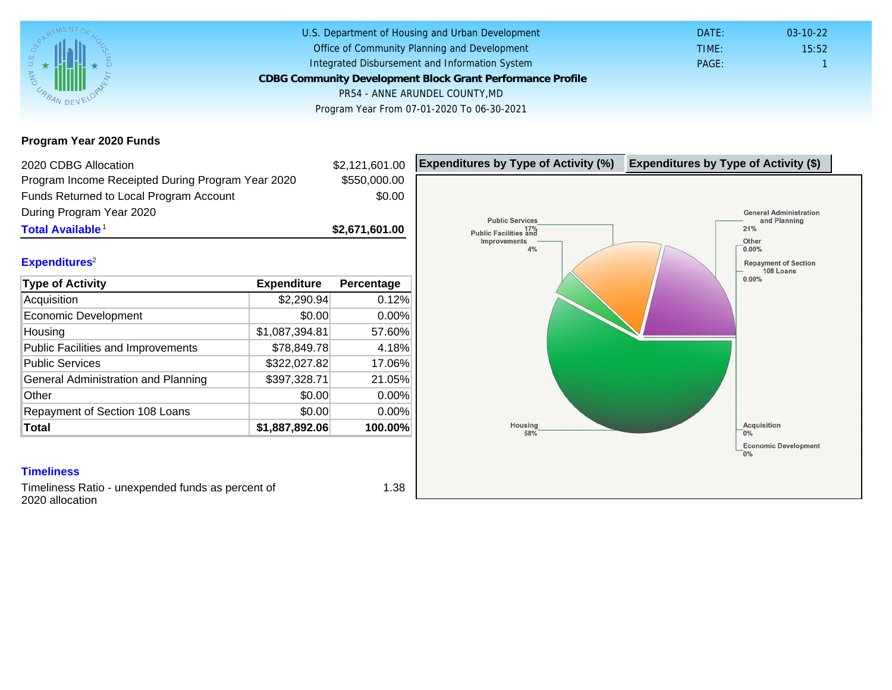Program Year 2020 Funds

| 2020 CDBG Allocation                              |                | \$2,121,601.00 | Expenditures by Type of Activity (%) | Expenditure |
|---------------------------------------------------|----------------|----------------|--------------------------------------|-------------|
| Program Income Receipted During Program Year 2020 |                | \$550,000.00   |                                      |             |
| Funds Returned to Local Program Account           |                | \$0.00         |                                      |             |
| During Program Year 2020                          |                |                |                                      |             |
| Total Available <sup>1</sup>                      |                | \$2,671,601.00 |                                      |             |
| Expenditures <sup>2</sup>                         |                |                |                                      |             |
| Type of Activity                                  | Expenditure    | Percentage     |                                      |             |
| Acquisition                                       | \$2,290.94     | 0.12%          |                                      |             |
| Economic Development                              | \$0.00         | 0.00%          |                                      |             |
| Housing                                           | \$1,087,394.81 | 57.60%         |                                      |             |
| <b>Public Facilities and Improvements</b>         | \$78,849.78    | 4.18%          |                                      |             |
| <b>Public Services</b>                            | \$322,027.82   | 17.06%         |                                      |             |
| General Administration and Planning               | \$397,328.71   | 21.05%         |                                      |             |
| Other                                             | \$0.00         | $0.00\%$       |                                      |             |
| Repayment of Section 108 Loans                    | \$0.00         | $0.00\%$       |                                      |             |
| Total                                             | \$1,887,892.06 | 100.00%        |                                      |             |

### **Timeliness**

Timeliness Ratio - unexpended funds as percent of 2020 allocation

1.38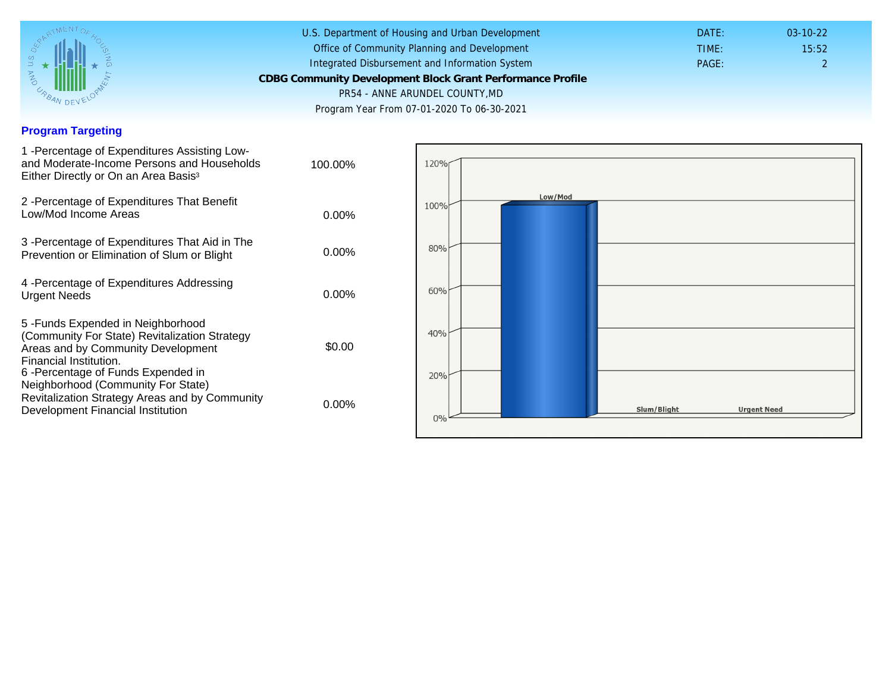### Program Targeting

| 1 - Percentage of Expenditures Assisting Low-<br>and Moderate-Income Persons and Households<br>Either Directly or On an Area Basis <sup>3</sup>                                                                              | 100.00%  |
|------------------------------------------------------------------------------------------------------------------------------------------------------------------------------------------------------------------------------|----------|
| 2 - Percentage of Expenditures That Benefit<br>Low/Mod Income Areas                                                                                                                                                          | $0.00\%$ |
| 3 - Percentage of Expenditures That Aid in The<br>Prevention or Elimination of Slum or Blight                                                                                                                                | $0.00\%$ |
| 4 - Percentage of Expenditures Addressing<br><b>Urgent Needs</b>                                                                                                                                                             | $0.00\%$ |
| 5-Funds Expended in Neighborhood<br>(Community For State) Revitalization Strategy<br>Areas and by Community Development<br>Financial Institution.<br>6-Percentage of Funds Expended in<br>Neighborhood (Community For State) | \$0.00   |
| Revitalization Strategy Areas and by Community<br>Development Financial Institution                                                                                                                                          | $0.00\%$ |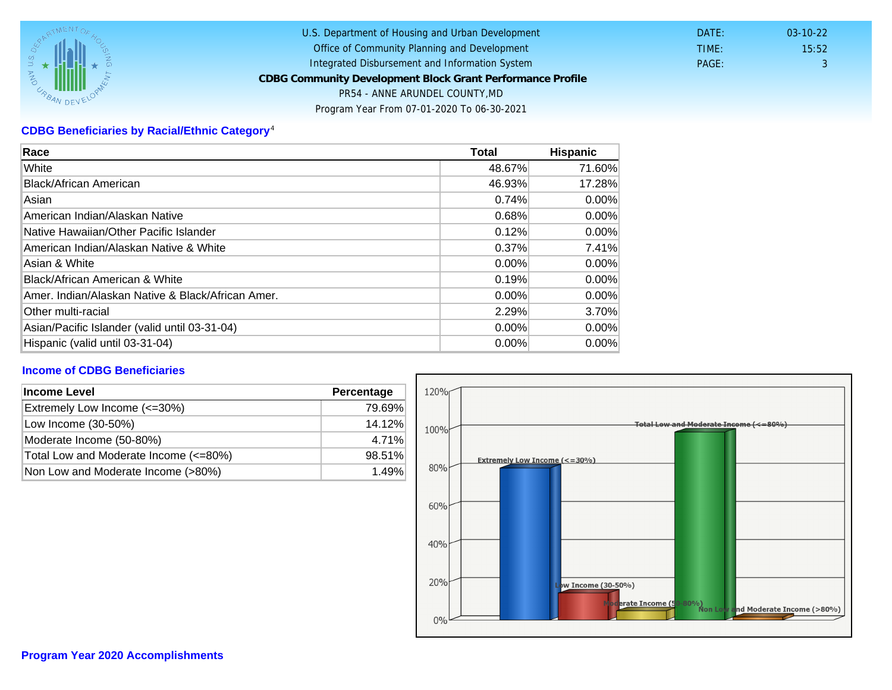# CDBG Beneficiaries by Racial/Ethnic Category <sup>4</sup>

| Race                                              | Total    | Hispanic |
|---------------------------------------------------|----------|----------|
| White                                             | 48.67%   | 71.60%   |
| Black/African American                            | 46.93%   | 17.28%   |
| Asian                                             | 0.74%    | $0.00\%$ |
| IAmerican Indian/Alaskan Native                   | 0.68%    | $0.00\%$ |
| lNative Hawaiian/Other Pacific Islander           | 0.12%    | $0.00\%$ |
| American Indian/Alaskan Native & White            | 0.37%    | 7.41%    |
| Asian & White                                     | 0.00%    | $0.00\%$ |
| Black/African American & White                    | 0.19%    | $0.00\%$ |
| Amer. Indian/Alaskan Native & Black/African Amer. | $0.00\%$ | $0.00\%$ |
| <b>Other multi-racial</b>                         | 2.29%    | 3.70%    |
| Asian/Pacific Islander (valid until 03-31-04)     | 0.00%    | 0.00%    |
| Hispanic (valid until 03-31-04)                   | $0.00\%$ | $0.00\%$ |

## Income of CDBG Beneficiaries

| Income Level                          | Percentage |  |
|---------------------------------------|------------|--|
| Extremely Low Income (<=30%)          | 79.69%     |  |
| Low Income (30-50%)                   | 14.12%     |  |
| Moderate Income (50-80%)              | 4.71%      |  |
| Total Low and Moderate Income (<=80%) | 98.51%     |  |
| Non Low and Moderate Income (>80%)    | 1.49%      |  |